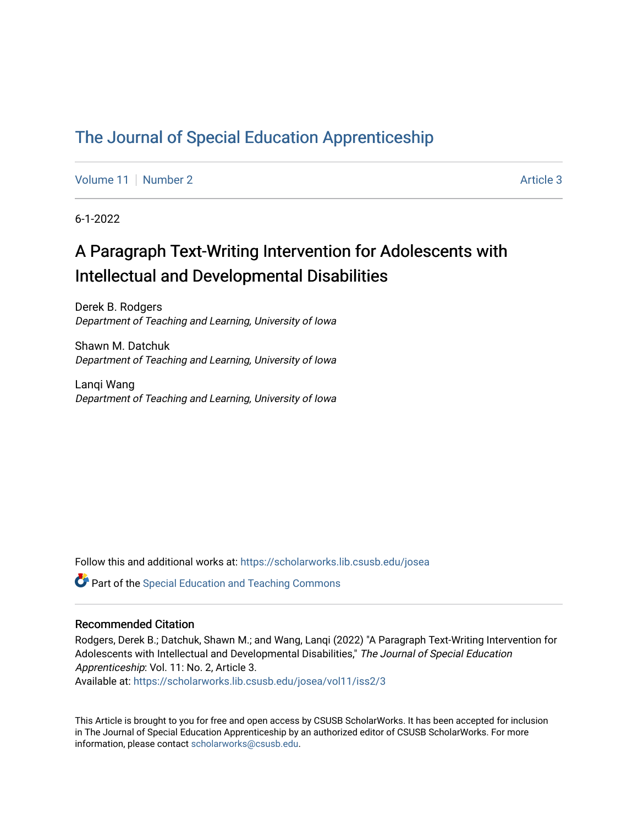## [The Journal of Special Education Apprenticeship](https://scholarworks.lib.csusb.edu/josea)

[Volume 11](https://scholarworks.lib.csusb.edu/josea/vol11) | [Number 2](https://scholarworks.lib.csusb.edu/josea/vol11/iss2) Article 3

6-1-2022

# A Paragraph Text-Writing Intervention for Adolescents with Intellectual and Developmental Disabilities

Derek B. Rodgers Department of Teaching and Learning, University of Iowa

Shawn M. Datchuk Department of Teaching and Learning, University of Iowa

Lanqi Wang Department of Teaching and Learning, University of Iowa

Follow this and additional works at: [https://scholarworks.lib.csusb.edu/josea](https://scholarworks.lib.csusb.edu/josea?utm_source=scholarworks.lib.csusb.edu%2Fjosea%2Fvol11%2Fiss2%2F3&utm_medium=PDF&utm_campaign=PDFCoverPages) 

**P** Part of the Special Education and Teaching Commons

### Recommended Citation

Rodgers, Derek B.; Datchuk, Shawn M.; and Wang, Lanqi (2022) "A Paragraph Text-Writing Intervention for Adolescents with Intellectual and Developmental Disabilities," The Journal of Special Education Apprenticeship: Vol. 11: No. 2, Article 3.

Available at: [https://scholarworks.lib.csusb.edu/josea/vol11/iss2/3](https://scholarworks.lib.csusb.edu/josea/vol11/iss2/3?utm_source=scholarworks.lib.csusb.edu%2Fjosea%2Fvol11%2Fiss2%2F3&utm_medium=PDF&utm_campaign=PDFCoverPages)

This Article is brought to you for free and open access by CSUSB ScholarWorks. It has been accepted for inclusion in The Journal of Special Education Apprenticeship by an authorized editor of CSUSB ScholarWorks. For more information, please contact [scholarworks@csusb.edu.](mailto:scholarworks@csusb.edu)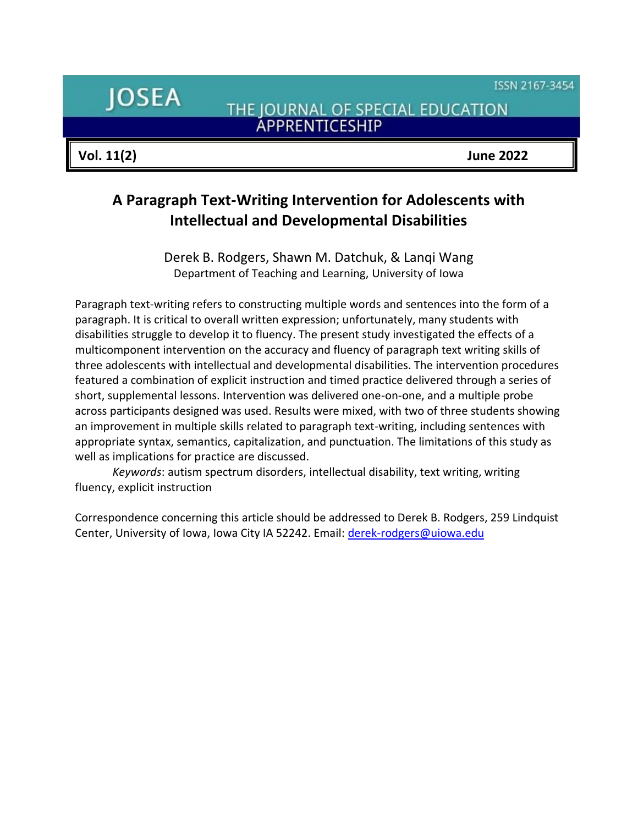ISSN 2167-3454

**JOSEA** 

THE JOURNAL OF SPECIAL EDUCATION **ÁPPRENTICESHIP** 

**Vol. 11(2) June 2022**

## **A Paragraph Text-Writing Intervention for Adolescents with Intellectual and Developmental Disabilities**

Derek B. Rodgers, Shawn M. Datchuk, & Lanqi Wang Department of Teaching and Learning, University of Iowa

Paragraph text-writing refers to constructing multiple words and sentences into the form of a paragraph. It is critical to overall written expression; unfortunately, many students with disabilities struggle to develop it to fluency. The present study investigated the effects of a multicomponent intervention on the accuracy and fluency of paragraph text writing skills of three adolescents with intellectual and developmental disabilities. The intervention procedures featured a combination of explicit instruction and timed practice delivered through a series of short, supplemental lessons. Intervention was delivered one-on-one, and a multiple probe across participants designed was used. Results were mixed, with two of three students showing an improvement in multiple skills related to paragraph text-writing, including sentences with appropriate syntax, semantics, capitalization, and punctuation. The limitations of this study as well as implications for practice are discussed.

*Keywords*: autism spectrum disorders, intellectual disability, text writing, writing fluency, explicit instruction

Correspondence concerning this article should be addressed to Derek B. Rodgers, 259 Lindquist Center, University of Iowa, Iowa City IA 52242. Email: [derek-rodgers@uiowa.edu](mailto:derek-rodgers@uiowa.edu)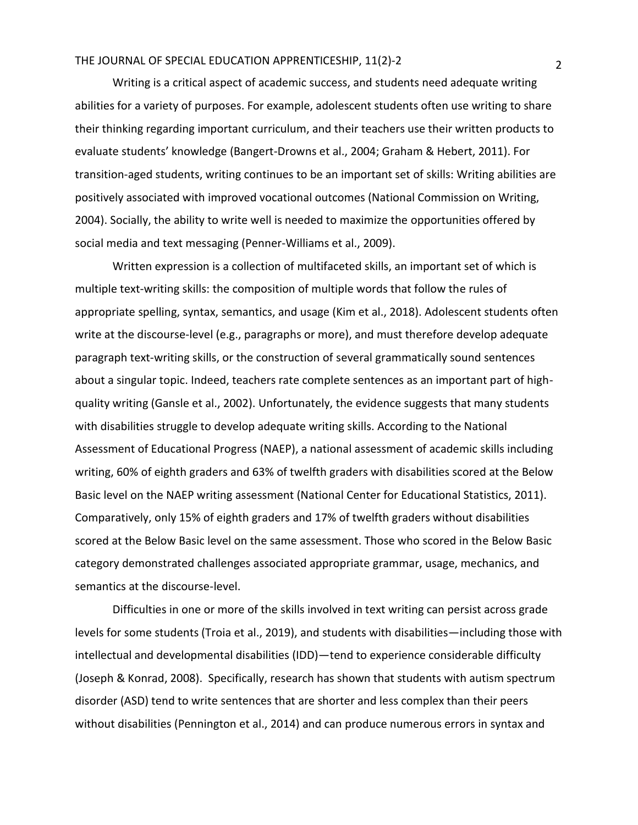Writing is a critical aspect of academic success, and students need adequate writing abilities for a variety of purposes. For example, adolescent students often use writing to share their thinking regarding important curriculum, and their teachers use their written products to evaluate students' knowledge (Bangert-Drowns et al., 2004; Graham & Hebert, 2011). For transition-aged students, writing continues to be an important set of skills: Writing abilities are positively associated with improved vocational outcomes (National Commission on Writing, 2004). Socially, the ability to write well is needed to maximize the opportunities offered by social media and text messaging (Penner-Williams et al., 2009).

Written expression is a collection of multifaceted skills, an important set of which is multiple text-writing skills: the composition of multiple words that follow the rules of appropriate spelling, syntax, semantics, and usage (Kim et al., 2018). Adolescent students often write at the discourse-level (e.g., paragraphs or more), and must therefore develop adequate paragraph text-writing skills, or the construction of several grammatically sound sentences about a singular topic. Indeed, teachers rate complete sentences as an important part of highquality writing (Gansle et al., 2002). Unfortunately, the evidence suggests that many students with disabilities struggle to develop adequate writing skills. According to the National Assessment of Educational Progress (NAEP), a national assessment of academic skills including writing, 60% of eighth graders and 63% of twelfth graders with disabilities scored at the Below Basic level on the NAEP writing assessment (National Center for Educational Statistics, 2011). Comparatively, only 15% of eighth graders and 17% of twelfth graders without disabilities scored at the Below Basic level on the same assessment. Those who scored in the Below Basic category demonstrated challenges associated appropriate grammar, usage, mechanics, and semantics at the discourse-level.

Difficulties in one or more of the skills involved in text writing can persist across grade levels for some students (Troia et al., 2019), and students with disabilities—including those with intellectual and developmental disabilities (IDD)—tend to experience considerable difficulty (Joseph & Konrad, 2008). Specifically, research has shown that students with autism spectrum disorder (ASD) tend to write sentences that are shorter and less complex than their peers without disabilities (Pennington et al., 2014) and can produce numerous errors in syntax and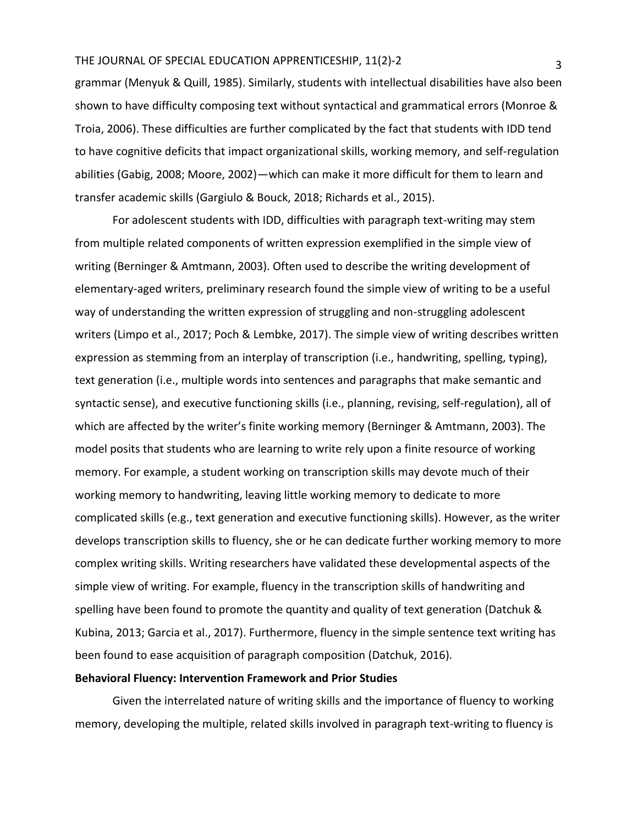grammar (Menyuk & Quill, 1985). Similarly, students with intellectual disabilities have also been shown to have difficulty composing text without syntactical and grammatical errors (Monroe & Troia, 2006). These difficulties are further complicated by the fact that students with IDD tend to have cognitive deficits that impact organizational skills, working memory, and self-regulation abilities (Gabig, 2008; Moore, 2002)—which can make it more difficult for them to learn and transfer academic skills (Gargiulo & Bouck, 2018; Richards et al., 2015).

For adolescent students with IDD, difficulties with paragraph text-writing may stem from multiple related components of written expression exemplified in the simple view of writing (Berninger & Amtmann, 2003). Often used to describe the writing development of elementary-aged writers, preliminary research found the simple view of writing to be a useful way of understanding the written expression of struggling and non-struggling adolescent writers (Limpo et al., 2017; Poch & Lembke, 2017). The simple view of writing describes written expression as stemming from an interplay of transcription (i.e., handwriting, spelling, typing), text generation (i.e., multiple words into sentences and paragraphs that make semantic and syntactic sense), and executive functioning skills (i.e., planning, revising, self-regulation), all of which are affected by the writer's finite working memory (Berninger & Amtmann, 2003). The model posits that students who are learning to write rely upon a finite resource of working memory. For example, a student working on transcription skills may devote much of their working memory to handwriting, leaving little working memory to dedicate to more complicated skills (e.g., text generation and executive functioning skills). However, as the writer develops transcription skills to fluency, she or he can dedicate further working memory to more complex writing skills. Writing researchers have validated these developmental aspects of the simple view of writing. For example, fluency in the transcription skills of handwriting and spelling have been found to promote the quantity and quality of text generation (Datchuk & Kubina, 2013; Garcia et al., 2017). Furthermore, fluency in the simple sentence text writing has been found to ease acquisition of paragraph composition (Datchuk, 2016).

## **Behavioral Fluency: Intervention Framework and Prior Studies**

Given the interrelated nature of writing skills and the importance of fluency to working memory, developing the multiple, related skills involved in paragraph text-writing to fluency is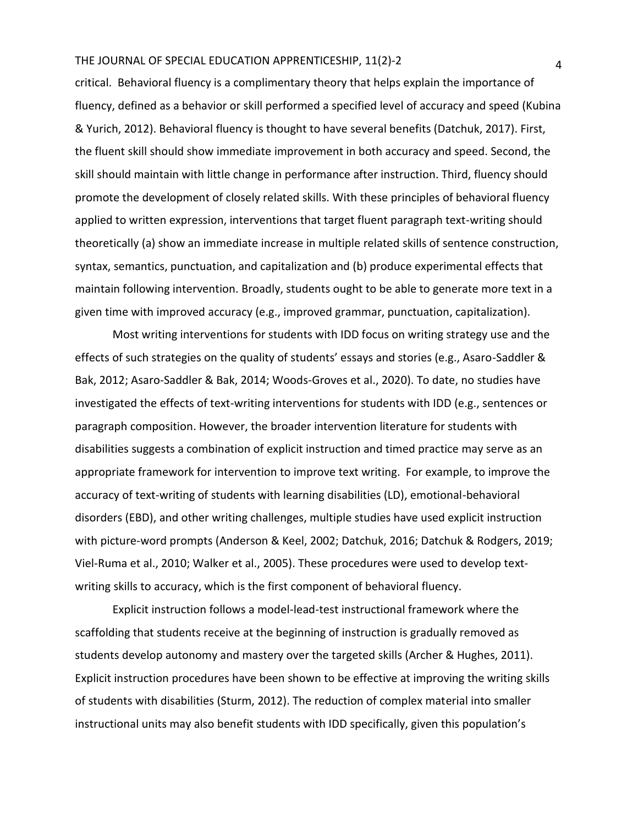critical. Behavioral fluency is a complimentary theory that helps explain the importance of fluency, defined as a behavior or skill performed a specified level of accuracy and speed (Kubina & Yurich, 2012). Behavioral fluency is thought to have several benefits (Datchuk, 2017). First, the fluent skill should show immediate improvement in both accuracy and speed. Second, the skill should maintain with little change in performance after instruction. Third, fluency should promote the development of closely related skills. With these principles of behavioral fluency applied to written expression, interventions that target fluent paragraph text-writing should theoretically (a) show an immediate increase in multiple related skills of sentence construction, syntax, semantics, punctuation, and capitalization and (b) produce experimental effects that maintain following intervention. Broadly, students ought to be able to generate more text in a given time with improved accuracy (e.g., improved grammar, punctuation, capitalization).

Most writing interventions for students with IDD focus on writing strategy use and the effects of such strategies on the quality of students' essays and stories (e.g., Asaro-Saddler & Bak, 2012; Asaro-Saddler & Bak, 2014; Woods-Groves et al., 2020). To date, no studies have investigated the effects of text-writing interventions for students with IDD (e.g., sentences or paragraph composition. However, the broader intervention literature for students with disabilities suggests a combination of explicit instruction and timed practice may serve as an appropriate framework for intervention to improve text writing. For example, to improve the accuracy of text-writing of students with learning disabilities (LD), emotional-behavioral disorders (EBD), and other writing challenges, multiple studies have used explicit instruction with picture-word prompts (Anderson & Keel, 2002; Datchuk, 2016; Datchuk & Rodgers, 2019; Viel-Ruma et al., 2010; Walker et al., 2005). These procedures were used to develop textwriting skills to accuracy, which is the first component of behavioral fluency.

Explicit instruction follows a model-lead-test instructional framework where the scaffolding that students receive at the beginning of instruction is gradually removed as students develop autonomy and mastery over the targeted skills (Archer & Hughes, 2011). Explicit instruction procedures have been shown to be effective at improving the writing skills of students with disabilities (Sturm, 2012). The reduction of complex material into smaller instructional units may also benefit students with IDD specifically, given this population's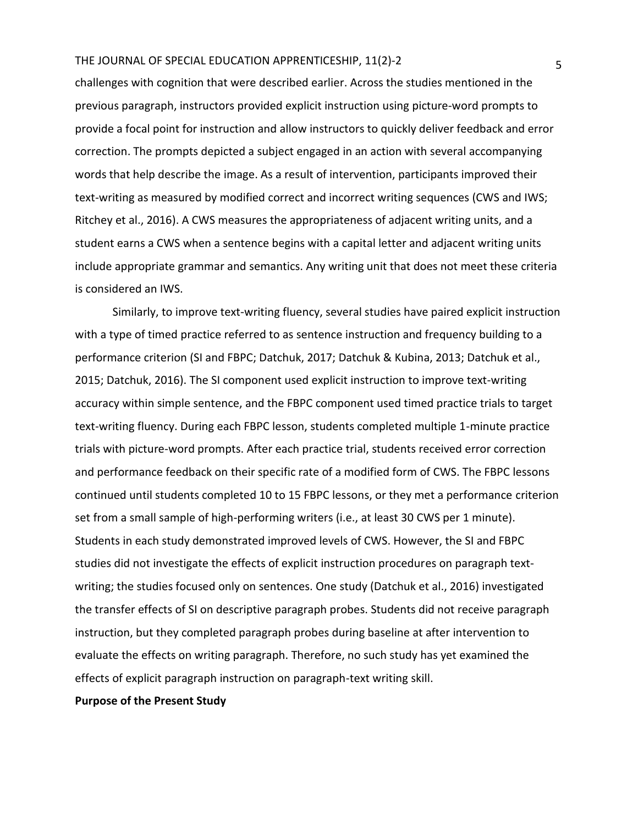challenges with cognition that were described earlier. Across the studies mentioned in the previous paragraph, instructors provided explicit instruction using picture-word prompts to provide a focal point for instruction and allow instructors to quickly deliver feedback and error correction. The prompts depicted a subject engaged in an action with several accompanying words that help describe the image. As a result of intervention, participants improved their text-writing as measured by modified correct and incorrect writing sequences (CWS and IWS; Ritchey et al., 2016). A CWS measures the appropriateness of adjacent writing units, and a student earns a CWS when a sentence begins with a capital letter and adjacent writing units include appropriate grammar and semantics. Any writing unit that does not meet these criteria is considered an IWS.

Similarly, to improve text-writing fluency, several studies have paired explicit instruction with a type of timed practice referred to as sentence instruction and frequency building to a performance criterion (SI and FBPC; Datchuk, 2017; Datchuk & Kubina, 2013; Datchuk et al., 2015; Datchuk, 2016). The SI component used explicit instruction to improve text-writing accuracy within simple sentence, and the FBPC component used timed practice trials to target text-writing fluency. During each FBPC lesson, students completed multiple 1-minute practice trials with picture-word prompts. After each practice trial, students received error correction and performance feedback on their specific rate of a modified form of CWS. The FBPC lessons continued until students completed 10 to 15 FBPC lessons, or they met a performance criterion set from a small sample of high-performing writers (i.e., at least 30 CWS per 1 minute). Students in each study demonstrated improved levels of CWS. However, the SI and FBPC studies did not investigate the effects of explicit instruction procedures on paragraph textwriting; the studies focused only on sentences. One study (Datchuk et al., 2016) investigated the transfer effects of SI on descriptive paragraph probes. Students did not receive paragraph instruction, but they completed paragraph probes during baseline at after intervention to evaluate the effects on writing paragraph. Therefore, no such study has yet examined the effects of explicit paragraph instruction on paragraph-text writing skill.

**Purpose of the Present Study**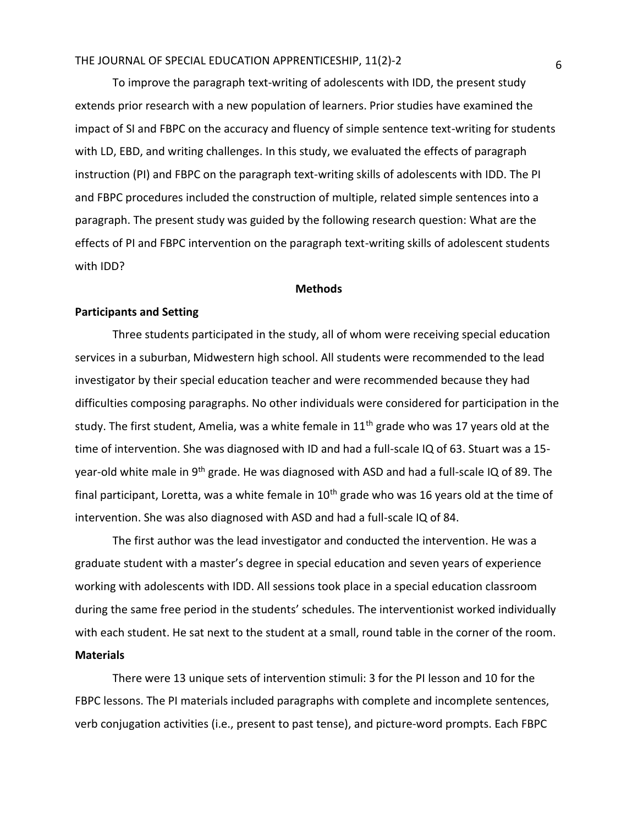To improve the paragraph text-writing of adolescents with IDD, the present study extends prior research with a new population of learners. Prior studies have examined the impact of SI and FBPC on the accuracy and fluency of simple sentence text-writing for students with LD, EBD, and writing challenges. In this study, we evaluated the effects of paragraph instruction (PI) and FBPC on the paragraph text-writing skills of adolescents with IDD. The PI and FBPC procedures included the construction of multiple, related simple sentences into a paragraph. The present study was guided by the following research question: What are the effects of PI and FBPC intervention on the paragraph text-writing skills of adolescent students with IDD?

#### **Methods**

### **Participants and Setting**

Three students participated in the study, all of whom were receiving special education services in a suburban, Midwestern high school. All students were recommended to the lead investigator by their special education teacher and were recommended because they had difficulties composing paragraphs. No other individuals were considered for participation in the study. The first student, Amelia, was a white female in  $11<sup>th</sup>$  grade who was 17 years old at the time of intervention. She was diagnosed with ID and had a full-scale IQ of 63. Stuart was a 15 year-old white male in 9<sup>th</sup> grade. He was diagnosed with ASD and had a full-scale IQ of 89. The final participant, Loretta, was a white female in 10<sup>th</sup> grade who was 16 years old at the time of intervention. She was also diagnosed with ASD and had a full-scale IQ of 84.

The first author was the lead investigator and conducted the intervention. He was a graduate student with a master's degree in special education and seven years of experience working with adolescents with IDD. All sessions took place in a special education classroom during the same free period in the students' schedules. The interventionist worked individually with each student. He sat next to the student at a small, round table in the corner of the room. **Materials**

There were 13 unique sets of intervention stimuli: 3 for the PI lesson and 10 for the FBPC lessons. The PI materials included paragraphs with complete and incomplete sentences, verb conjugation activities (i.e., present to past tense), and picture-word prompts. Each FBPC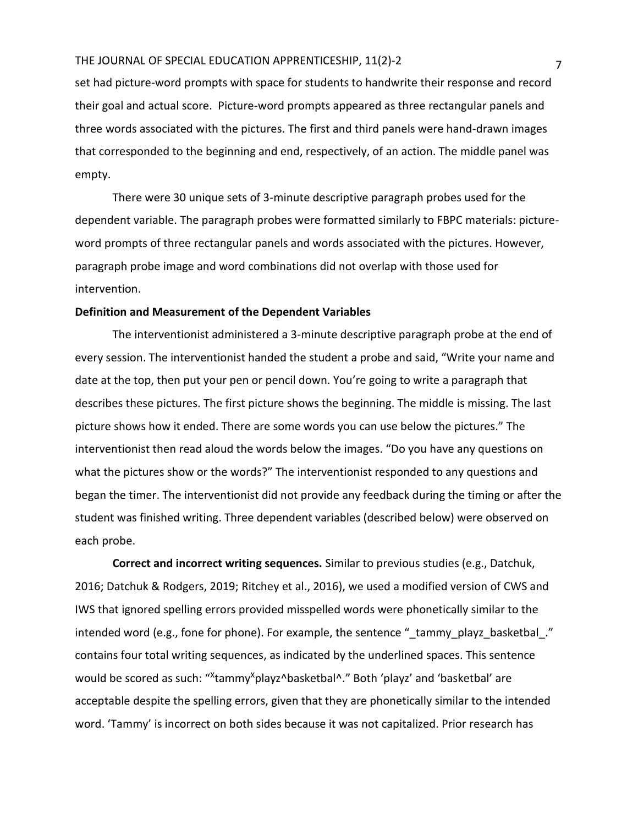set had picture-word prompts with space for students to handwrite their response and record their goal and actual score. Picture-word prompts appeared as three rectangular panels and three words associated with the pictures. The first and third panels were hand-drawn images that corresponded to the beginning and end, respectively, of an action. The middle panel was empty.

There were 30 unique sets of 3-minute descriptive paragraph probes used for the dependent variable. The paragraph probes were formatted similarly to FBPC materials: pictureword prompts of three rectangular panels and words associated with the pictures. However, paragraph probe image and word combinations did not overlap with those used for intervention.

#### **Definition and Measurement of the Dependent Variables**

The interventionist administered a 3-minute descriptive paragraph probe at the end of every session. The interventionist handed the student a probe and said, "Write your name and date at the top, then put your pen or pencil down. You're going to write a paragraph that describes these pictures. The first picture shows the beginning. The middle is missing. The last picture shows how it ended. There are some words you can use below the pictures." The interventionist then read aloud the words below the images. "Do you have any questions on what the pictures show or the words?" The interventionist responded to any questions and began the timer. The interventionist did not provide any feedback during the timing or after the student was finished writing. Three dependent variables (described below) were observed on each probe.

**Correct and incorrect writing sequences.** Similar to previous studies (e.g., Datchuk, 2016; Datchuk & Rodgers, 2019; Ritchey et al., 2016), we used a modified version of CWS and IWS that ignored spelling errors provided misspelled words were phonetically similar to the intended word (e.g., fone for phone). For example, the sentence "\_tammy\_playz\_basketbal\_." contains four total writing sequences, as indicated by the underlined spaces. This sentence would be scored as such: "<sup>x</sup>tammy<sup>x</sup>playz^basketbal^." Both 'playz' and 'basketbal' are acceptable despite the spelling errors, given that they are phonetically similar to the intended word. 'Tammy' is incorrect on both sides because it was not capitalized. Prior research has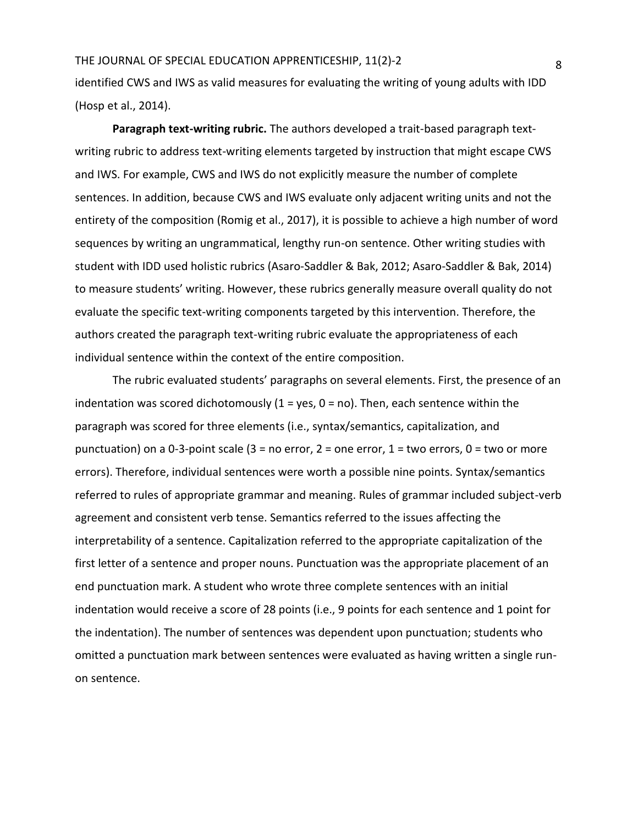identified CWS and IWS as valid measures for evaluating the writing of young adults with IDD (Hosp et al., 2014).

**Paragraph text-writing rubric.** The authors developed a trait-based paragraph textwriting rubric to address text-writing elements targeted by instruction that might escape CWS and IWS. For example, CWS and IWS do not explicitly measure the number of complete sentences. In addition, because CWS and IWS evaluate only adjacent writing units and not the entirety of the composition (Romig et al., 2017), it is possible to achieve a high number of word sequences by writing an ungrammatical, lengthy run-on sentence. Other writing studies with student with IDD used holistic rubrics (Asaro-Saddler & Bak, 2012; Asaro-Saddler & Bak, 2014) to measure students' writing. However, these rubrics generally measure overall quality do not evaluate the specific text-writing components targeted by this intervention. Therefore, the authors created the paragraph text-writing rubric evaluate the appropriateness of each individual sentence within the context of the entire composition.

The rubric evaluated students' paragraphs on several elements. First, the presence of an indentation was scored dichotomously  $(1 = yes, 0 = no)$ . Then, each sentence within the paragraph was scored for three elements (i.e., syntax/semantics, capitalization, and punctuation) on a 0-3-point scale (3 = no error, 2 = one error, 1 = two errors, 0 = two or more errors). Therefore, individual sentences were worth a possible nine points. Syntax/semantics referred to rules of appropriate grammar and meaning. Rules of grammar included subject-verb agreement and consistent verb tense. Semantics referred to the issues affecting the interpretability of a sentence. Capitalization referred to the appropriate capitalization of the first letter of a sentence and proper nouns. Punctuation was the appropriate placement of an end punctuation mark. A student who wrote three complete sentences with an initial indentation would receive a score of 28 points (i.e., 9 points for each sentence and 1 point for the indentation). The number of sentences was dependent upon punctuation; students who omitted a punctuation mark between sentences were evaluated as having written a single runon sentence.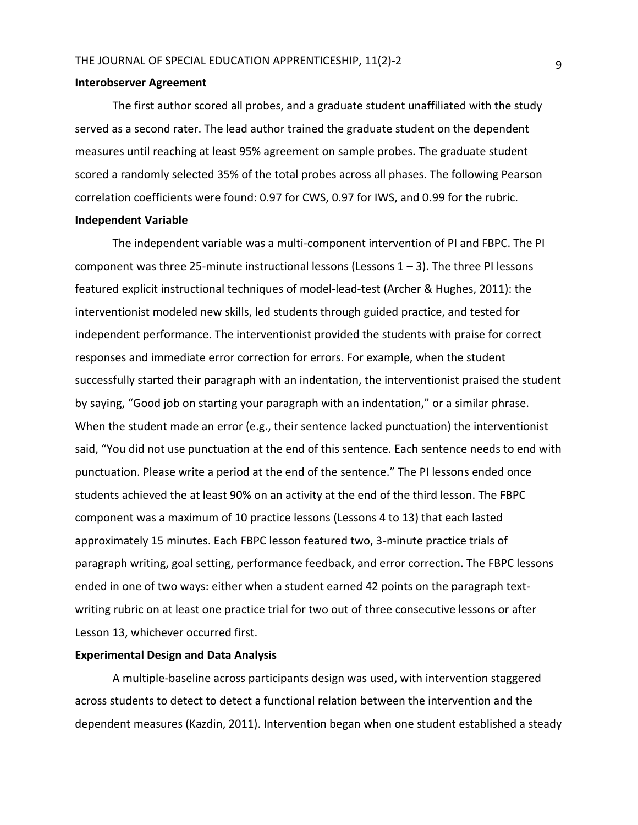#### **Interobserver Agreement**

The first author scored all probes, and a graduate student unaffiliated with the study served as a second rater. The lead author trained the graduate student on the dependent measures until reaching at least 95% agreement on sample probes. The graduate student scored a randomly selected 35% of the total probes across all phases. The following Pearson correlation coefficients were found: 0.97 for CWS, 0.97 for IWS, and 0.99 for the rubric. **Independent Variable**

# The independent variable was a multi-component intervention of PI and FBPC. The PI component was three 25-minute instructional lessons (Lessons  $1 - 3$ ). The three PI lessons featured explicit instructional techniques of model-lead-test (Archer & Hughes, 2011): the interventionist modeled new skills, led students through guided practice, and tested for independent performance. The interventionist provided the students with praise for correct responses and immediate error correction for errors. For example, when the student successfully started their paragraph with an indentation, the interventionist praised the student by saying, "Good job on starting your paragraph with an indentation," or a similar phrase. When the student made an error (e.g., their sentence lacked punctuation) the interventionist said, "You did not use punctuation at the end of this sentence. Each sentence needs to end with punctuation. Please write a period at the end of the sentence." The PI lessons ended once students achieved the at least 90% on an activity at the end of the third lesson. The FBPC component was a maximum of 10 practice lessons (Lessons 4 to 13) that each lasted approximately 15 minutes. Each FBPC lesson featured two, 3-minute practice trials of paragraph writing, goal setting, performance feedback, and error correction. The FBPC lessons ended in one of two ways: either when a student earned 42 points on the paragraph textwriting rubric on at least one practice trial for two out of three consecutive lessons or after Lesson 13, whichever occurred first.

#### **Experimental Design and Data Analysis**

A multiple-baseline across participants design was used, with intervention staggered across students to detect to detect a functional relation between the intervention and the dependent measures (Kazdin, 2011). Intervention began when one student established a steady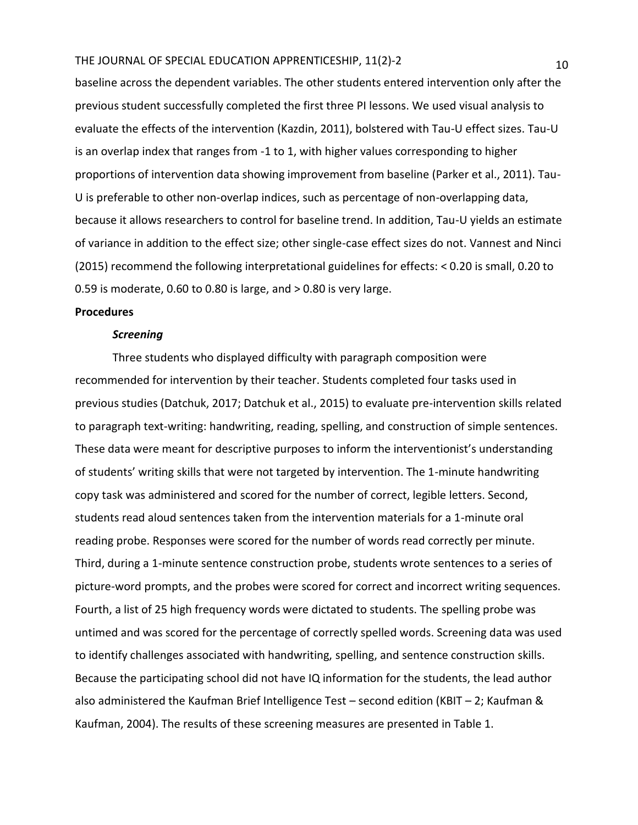baseline across the dependent variables. The other students entered intervention only after the previous student successfully completed the first three PI lessons. We used visual analysis to evaluate the effects of the intervention (Kazdin, 2011), bolstered with Tau-U effect sizes. Tau-U is an overlap index that ranges from -1 to 1, with higher values corresponding to higher proportions of intervention data showing improvement from baseline (Parker et al., 2011). Tau-U is preferable to other non-overlap indices, such as percentage of non-overlapping data, because it allows researchers to control for baseline trend. In addition, Tau-U yields an estimate of variance in addition to the effect size; other single-case effect sizes do not. Vannest and Ninci (2015) recommend the following interpretational guidelines for effects: < 0.20 is small, 0.20 to 0.59 is moderate, 0.60 to 0.80 is large, and > 0.80 is very large.

#### **Procedures**

#### *Screening*

Three students who displayed difficulty with paragraph composition were recommended for intervention by their teacher. Students completed four tasks used in previous studies (Datchuk, 2017; Datchuk et al., 2015) to evaluate pre-intervention skills related to paragraph text-writing: handwriting, reading, spelling, and construction of simple sentences. These data were meant for descriptive purposes to inform the interventionist's understanding of students' writing skills that were not targeted by intervention. The 1-minute handwriting copy task was administered and scored for the number of correct, legible letters. Second, students read aloud sentences taken from the intervention materials for a 1-minute oral reading probe. Responses were scored for the number of words read correctly per minute. Third, during a 1-minute sentence construction probe, students wrote sentences to a series of picture-word prompts, and the probes were scored for correct and incorrect writing sequences. Fourth, a list of 25 high frequency words were dictated to students. The spelling probe was untimed and was scored for the percentage of correctly spelled words. Screening data was used to identify challenges associated with handwriting, spelling, and sentence construction skills. Because the participating school did not have IQ information for the students, the lead author also administered the Kaufman Brief Intelligence Test – second edition (KBIT – 2; Kaufman & Kaufman, 2004). The results of these screening measures are presented in Table 1.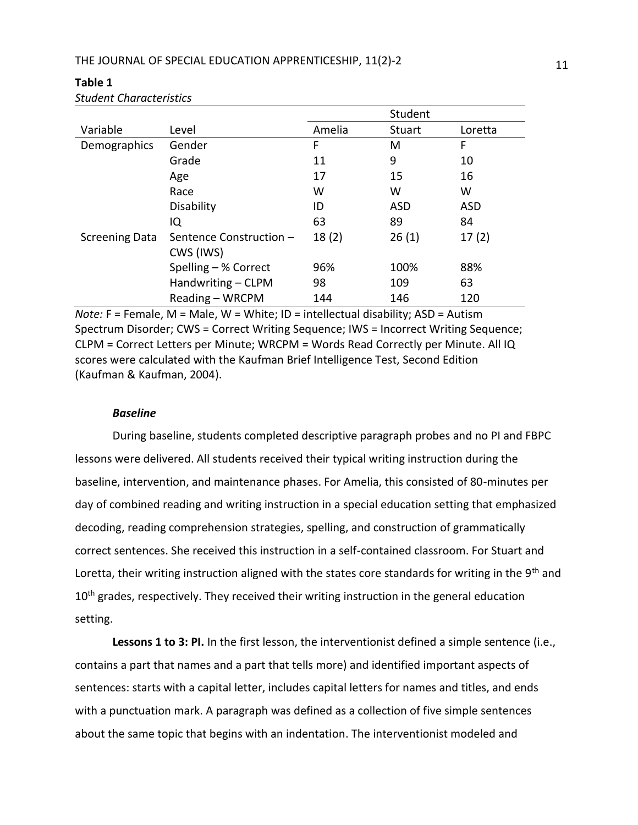|                       |                         |        | Student    |            |
|-----------------------|-------------------------|--------|------------|------------|
| Variable              | Level                   | Amelia | Stuart     | Loretta    |
| Demographics          | Gender                  | F      | м          | F          |
|                       | Grade                   | 11     | 9          | 10         |
|                       | Age                     | 17     | 15         | 16         |
|                       | Race                    | W      | W          | W          |
|                       | Disability              | ID     | <b>ASD</b> | <b>ASD</b> |
|                       | IQ                      | 63     | 89         | 84         |
| <b>Screening Data</b> | Sentence Construction - | 18(2)  | 26(1)      | 17(2)      |
|                       | CWS (IWS)               |        |            |            |
|                       | Spelling - % Correct    | 96%    | 100%       | 88%        |
|                       | Handwriting - CLPM      | 98     | 109        | 63         |
|                       | Reading - WRCPM         | 144    | 146        | 120        |

### **Table 1** *Student Characteristics*

*Note:* F = Female, M = Male, W = White; ID = intellectual disability; ASD = Autism Spectrum Disorder; CWS = Correct Writing Sequence; IWS = Incorrect Writing Sequence; CLPM = Correct Letters per Minute; WRCPM = Words Read Correctly per Minute. All IQ scores were calculated with the Kaufman Brief Intelligence Test, Second Edition (Kaufman & Kaufman, 2004).

## *Baseline*

During baseline, students completed descriptive paragraph probes and no PI and FBPC lessons were delivered. All students received their typical writing instruction during the baseline, intervention, and maintenance phases. For Amelia, this consisted of 80-minutes per day of combined reading and writing instruction in a special education setting that emphasized decoding, reading comprehension strategies, spelling, and construction of grammatically correct sentences. She received this instruction in a self-contained classroom. For Stuart and Loretta, their writing instruction aligned with the states core standards for writing in the 9<sup>th</sup> and 10<sup>th</sup> grades, respectively. They received their writing instruction in the general education setting.

**Lessons 1 to 3: PI.** In the first lesson, the interventionist defined a simple sentence (i.e., contains a part that names and a part that tells more) and identified important aspects of sentences: starts with a capital letter, includes capital letters for names and titles, and ends with a punctuation mark. A paragraph was defined as a collection of five simple sentences about the same topic that begins with an indentation. The interventionist modeled and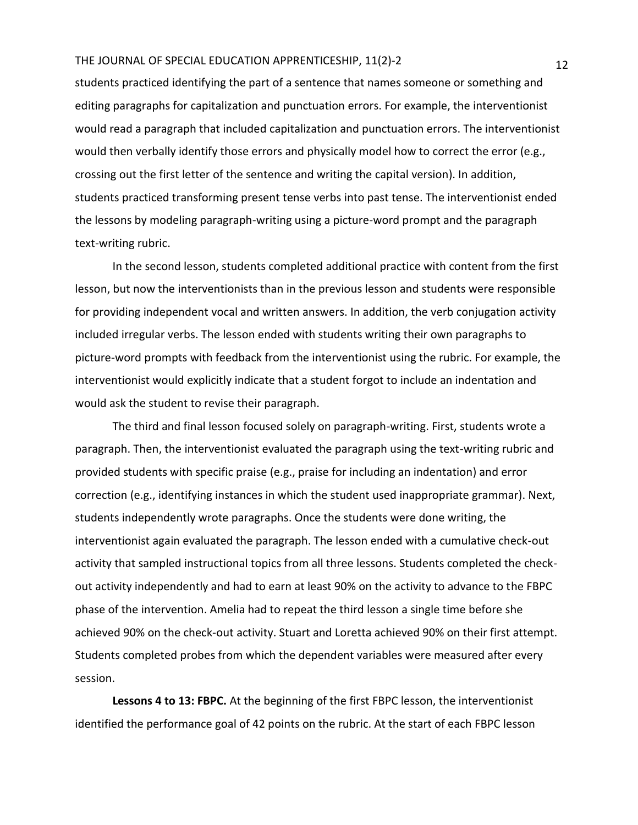students practiced identifying the part of a sentence that names someone or something and editing paragraphs for capitalization and punctuation errors. For example, the interventionist would read a paragraph that included capitalization and punctuation errors. The interventionist would then verbally identify those errors and physically model how to correct the error (e.g., crossing out the first letter of the sentence and writing the capital version). In addition, students practiced transforming present tense verbs into past tense. The interventionist ended the lessons by modeling paragraph-writing using a picture-word prompt and the paragraph text-writing rubric.

In the second lesson, students completed additional practice with content from the first lesson, but now the interventionists than in the previous lesson and students were responsible for providing independent vocal and written answers. In addition, the verb conjugation activity included irregular verbs. The lesson ended with students writing their own paragraphs to picture-word prompts with feedback from the interventionist using the rubric. For example, the interventionist would explicitly indicate that a student forgot to include an indentation and would ask the student to revise their paragraph.

The third and final lesson focused solely on paragraph-writing. First, students wrote a paragraph. Then, the interventionist evaluated the paragraph using the text-writing rubric and provided students with specific praise (e.g., praise for including an indentation) and error correction (e.g., identifying instances in which the student used inappropriate grammar). Next, students independently wrote paragraphs. Once the students were done writing, the interventionist again evaluated the paragraph. The lesson ended with a cumulative check-out activity that sampled instructional topics from all three lessons. Students completed the checkout activity independently and had to earn at least 90% on the activity to advance to the FBPC phase of the intervention. Amelia had to repeat the third lesson a single time before she achieved 90% on the check-out activity. Stuart and Loretta achieved 90% on their first attempt. Students completed probes from which the dependent variables were measured after every session.

**Lessons 4 to 13: FBPC.** At the beginning of the first FBPC lesson, the interventionist identified the performance goal of 42 points on the rubric. At the start of each FBPC lesson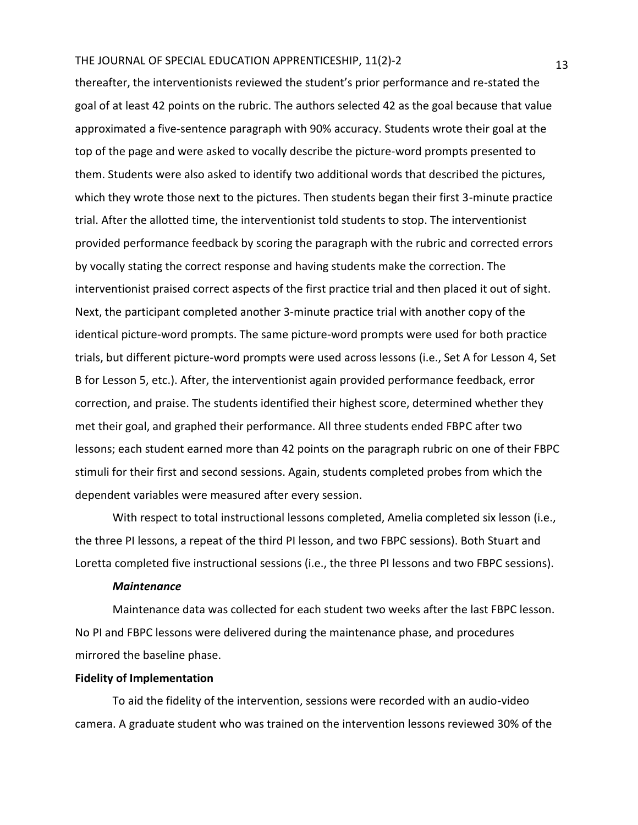thereafter, the interventionists reviewed the student's prior performance and re-stated the goal of at least 42 points on the rubric. The authors selected 42 as the goal because that value approximated a five-sentence paragraph with 90% accuracy. Students wrote their goal at the top of the page and were asked to vocally describe the picture-word prompts presented to them. Students were also asked to identify two additional words that described the pictures, which they wrote those next to the pictures. Then students began their first 3-minute practice trial. After the allotted time, the interventionist told students to stop. The interventionist provided performance feedback by scoring the paragraph with the rubric and corrected errors by vocally stating the correct response and having students make the correction. The interventionist praised correct aspects of the first practice trial and then placed it out of sight. Next, the participant completed another 3-minute practice trial with another copy of the identical picture-word prompts. The same picture-word prompts were used for both practice trials, but different picture-word prompts were used across lessons (i.e., Set A for Lesson 4, Set B for Lesson 5, etc.). After, the interventionist again provided performance feedback, error correction, and praise. The students identified their highest score, determined whether they met their goal, and graphed their performance. All three students ended FBPC after two lessons; each student earned more than 42 points on the paragraph rubric on one of their FBPC stimuli for their first and second sessions. Again, students completed probes from which the dependent variables were measured after every session.

With respect to total instructional lessons completed, Amelia completed six lesson (i.e., the three PI lessons, a repeat of the third PI lesson, and two FBPC sessions). Both Stuart and Loretta completed five instructional sessions (i.e., the three PI lessons and two FBPC sessions).

#### *Maintenance*

Maintenance data was collected for each student two weeks after the last FBPC lesson. No PI and FBPC lessons were delivered during the maintenance phase, and procedures mirrored the baseline phase.

#### **Fidelity of Implementation**

To aid the fidelity of the intervention, sessions were recorded with an audio-video camera. A graduate student who was trained on the intervention lessons reviewed 30% of the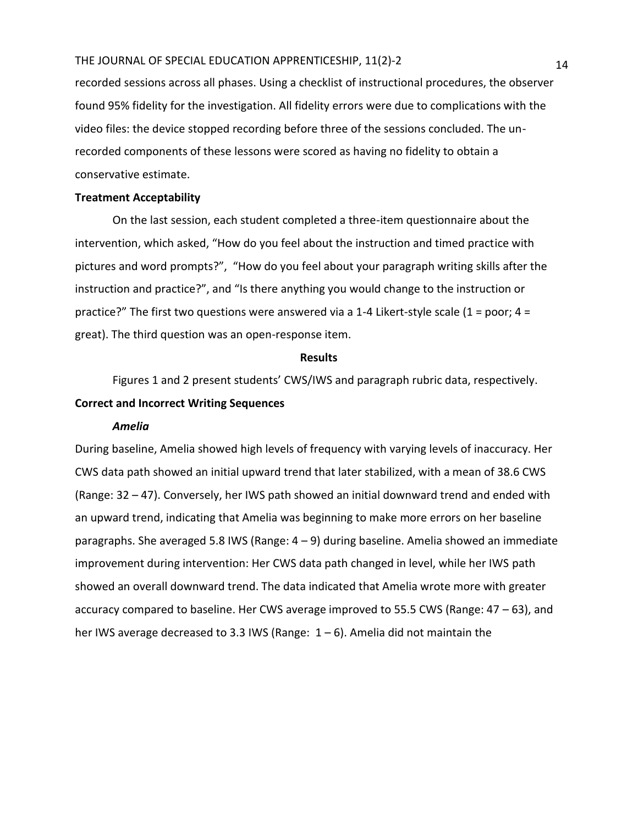recorded sessions across all phases. Using a checklist of instructional procedures, the observer found 95% fidelity for the investigation. All fidelity errors were due to complications with the video files: the device stopped recording before three of the sessions concluded. The unrecorded components of these lessons were scored as having no fidelity to obtain a conservative estimate.

#### **Treatment Acceptability**

On the last session, each student completed a three-item questionnaire about the intervention, which asked, "How do you feel about the instruction and timed practice with pictures and word prompts?", "How do you feel about your paragraph writing skills after the instruction and practice?", and "Is there anything you would change to the instruction or practice?" The first two questions were answered via a 1-4 Likert-style scale (1 = poor; 4 = great). The third question was an open-response item.

#### **Results**

Figures 1 and 2 present students' CWS/IWS and paragraph rubric data, respectively.

## **Correct and Incorrect Writing Sequences**

#### *Amelia*

During baseline, Amelia showed high levels of frequency with varying levels of inaccuracy. Her CWS data path showed an initial upward trend that later stabilized, with a mean of 38.6 CWS (Range: 32 – 47). Conversely, her IWS path showed an initial downward trend and ended with an upward trend, indicating that Amelia was beginning to make more errors on her baseline paragraphs. She averaged 5.8 IWS (Range: 4 – 9) during baseline. Amelia showed an immediate improvement during intervention: Her CWS data path changed in level, while her IWS path showed an overall downward trend. The data indicated that Amelia wrote more with greater accuracy compared to baseline. Her CWS average improved to 55.5 CWS (Range: 47 – 63), and her IWS average decreased to 3.3 IWS (Range:  $1-6$ ). Amelia did not maintain the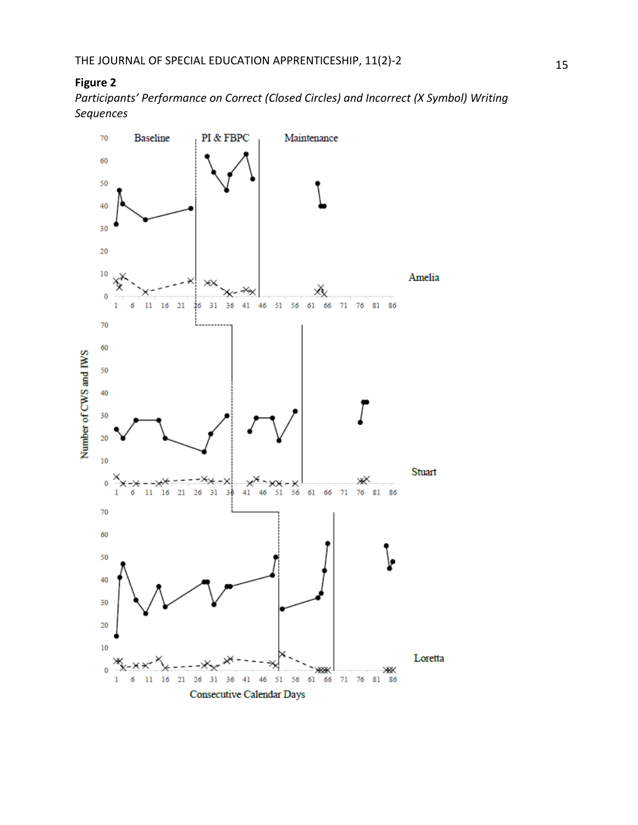## **Figure 2**

*Participants' Performance on Correct (Closed Circles) and Incorrect (X Symbol) Writing Sequences*

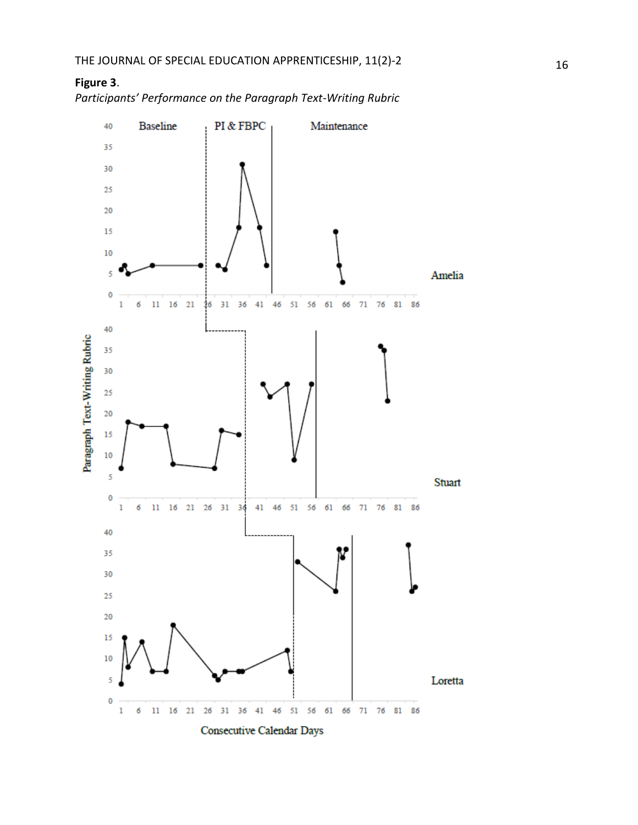

*Participants' Performance on the Paragraph Text -Writing Rubric* 

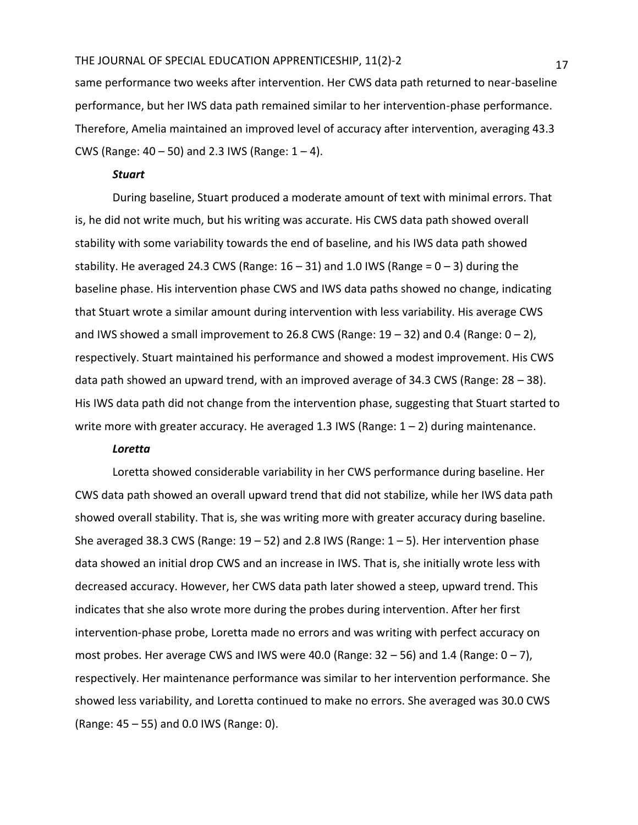same performance two weeks after intervention. Her CWS data path returned to near-baseline performance, but her IWS data path remained similar to her intervention-phase performance. Therefore, Amelia maintained an improved level of accuracy after intervention, averaging 43.3 CWS (Range:  $40 - 50$ ) and 2.3 IWS (Range:  $1 - 4$ ).

## *Stuart*

During baseline, Stuart produced a moderate amount of text with minimal errors. That is, he did not write much, but his writing was accurate. His CWS data path showed overall stability with some variability towards the end of baseline, and his IWS data path showed stability. He averaged 24.3 CWS (Range:  $16 - 31$ ) and 1.0 IWS (Range =  $0 - 3$ ) during the baseline phase. His intervention phase CWS and IWS data paths showed no change, indicating that Stuart wrote a similar amount during intervention with less variability. His average CWS and IWS showed a small improvement to 26.8 CWS (Range:  $19 - 32$ ) and 0.4 (Range:  $0 - 2$ ), respectively. Stuart maintained his performance and showed a modest improvement. His CWS data path showed an upward trend, with an improved average of 34.3 CWS (Range: 28 – 38). His IWS data path did not change from the intervention phase, suggesting that Stuart started to write more with greater accuracy. He averaged 1.3 IWS (Range:  $1 - 2$ ) during maintenance.

## *Loretta*

Loretta showed considerable variability in her CWS performance during baseline. Her CWS data path showed an overall upward trend that did not stabilize, while her IWS data path showed overall stability. That is, she was writing more with greater accuracy during baseline. She averaged 38.3 CWS (Range:  $19 - 52$ ) and 2.8 IWS (Range:  $1 - 5$ ). Her intervention phase data showed an initial drop CWS and an increase in IWS. That is, she initially wrote less with decreased accuracy. However, her CWS data path later showed a steep, upward trend. This indicates that she also wrote more during the probes during intervention. After her first intervention-phase probe, Loretta made no errors and was writing with perfect accuracy on most probes. Her average CWS and IWS were 40.0 (Range:  $32 - 56$ ) and  $1.4$  (Range:  $0 - 7$ ), respectively. Her maintenance performance was similar to her intervention performance. She showed less variability, and Loretta continued to make no errors. She averaged was 30.0 CWS (Range: 45 – 55) and 0.0 IWS (Range: 0).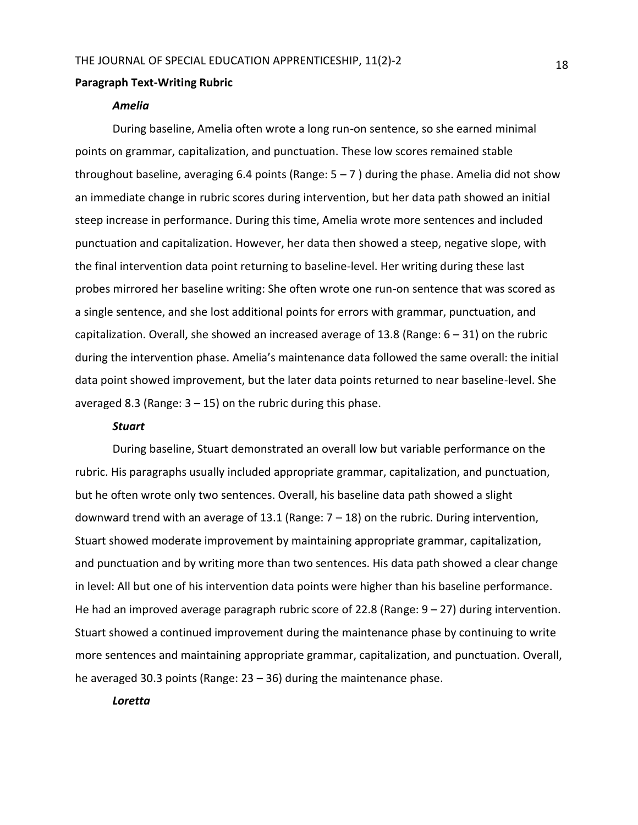#### **Paragraph Text-Writing Rubric**

#### *Amelia*

During baseline, Amelia often wrote a long run-on sentence, so she earned minimal points on grammar, capitalization, and punctuation. These low scores remained stable throughout baseline, averaging 6.4 points (Range:  $5 - 7$ ) during the phase. Amelia did not show an immediate change in rubric scores during intervention, but her data path showed an initial steep increase in performance. During this time, Amelia wrote more sentences and included punctuation and capitalization. However, her data then showed a steep, negative slope, with the final intervention data point returning to baseline-level. Her writing during these last probes mirrored her baseline writing: She often wrote one run-on sentence that was scored as a single sentence, and she lost additional points for errors with grammar, punctuation, and capitalization. Overall, she showed an increased average of 13.8 (Range:  $6 - 31$ ) on the rubric during the intervention phase. Amelia's maintenance data followed the same overall: the initial data point showed improvement, but the later data points returned to near baseline-level. She averaged 8.3 (Range:  $3 - 15$ ) on the rubric during this phase.

#### *Stuart*

During baseline, Stuart demonstrated an overall low but variable performance on the rubric. His paragraphs usually included appropriate grammar, capitalization, and punctuation, but he often wrote only two sentences. Overall, his baseline data path showed a slight downward trend with an average of 13.1 (Range:  $7 - 18$ ) on the rubric. During intervention, Stuart showed moderate improvement by maintaining appropriate grammar, capitalization, and punctuation and by writing more than two sentences. His data path showed a clear change in level: All but one of his intervention data points were higher than his baseline performance. He had an improved average paragraph rubric score of 22.8 (Range:  $9 - 27$ ) during intervention. Stuart showed a continued improvement during the maintenance phase by continuing to write more sentences and maintaining appropriate grammar, capitalization, and punctuation. Overall, he averaged 30.3 points (Range: 23 – 36) during the maintenance phase.

#### *Loretta*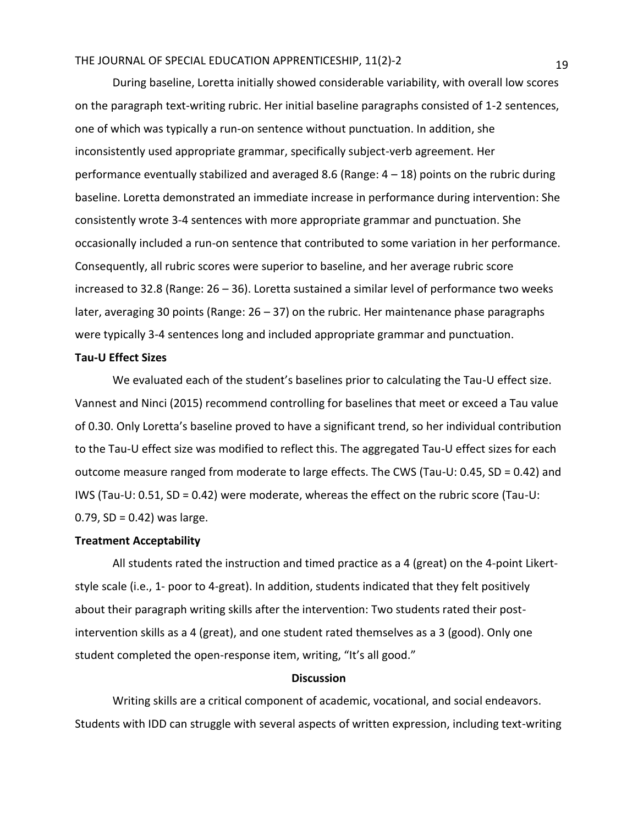During baseline, Loretta initially showed considerable variability, with overall low scores on the paragraph text-writing rubric. Her initial baseline paragraphs consisted of 1-2 sentences, one of which was typically a run-on sentence without punctuation. In addition, she inconsistently used appropriate grammar, specifically subject-verb agreement. Her performance eventually stabilized and averaged 8.6 (Range:  $4 - 18$ ) points on the rubric during baseline. Loretta demonstrated an immediate increase in performance during intervention: She consistently wrote 3-4 sentences with more appropriate grammar and punctuation. She occasionally included a run-on sentence that contributed to some variation in her performance. Consequently, all rubric scores were superior to baseline, and her average rubric score increased to 32.8 (Range: 26 – 36). Loretta sustained a similar level of performance two weeks later, averaging 30 points (Range: 26 – 37) on the rubric. Her maintenance phase paragraphs were typically 3-4 sentences long and included appropriate grammar and punctuation.

#### **Tau-U Effect Sizes**

We evaluated each of the student's baselines prior to calculating the Tau-U effect size. Vannest and Ninci (2015) recommend controlling for baselines that meet or exceed a Tau value of 0.30. Only Loretta's baseline proved to have a significant trend, so her individual contribution to the Tau-U effect size was modified to reflect this. The aggregated Tau-U effect sizes for each outcome measure ranged from moderate to large effects. The CWS (Tau-U: 0.45, SD = 0.42) and IWS (Tau-U: 0.51, SD = 0.42) were moderate, whereas the effect on the rubric score (Tau-U:  $0.79$ , SD = 0.42) was large.

## **Treatment Acceptability**

All students rated the instruction and timed practice as a 4 (great) on the 4-point Likertstyle scale (i.e., 1- poor to 4-great). In addition, students indicated that they felt positively about their paragraph writing skills after the intervention: Two students rated their postintervention skills as a 4 (great), and one student rated themselves as a 3 (good). Only one student completed the open-response item, writing, "It's all good."

#### **Discussion**

Writing skills are a critical component of academic, vocational, and social endeavors. Students with IDD can struggle with several aspects of written expression, including text-writing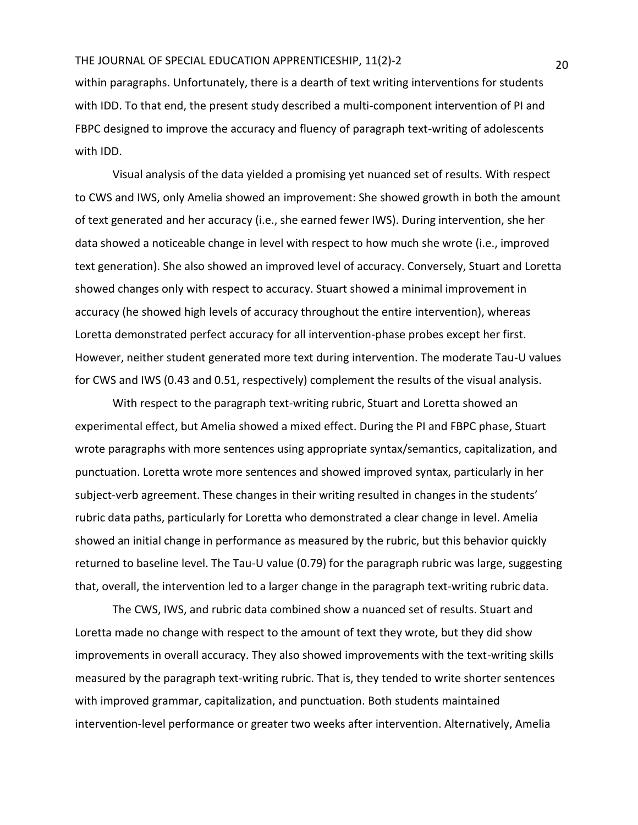within paragraphs. Unfortunately, there is a dearth of text writing interventions for students with IDD. To that end, the present study described a multi-component intervention of PI and FBPC designed to improve the accuracy and fluency of paragraph text-writing of adolescents with IDD.

Visual analysis of the data yielded a promising yet nuanced set of results. With respect to CWS and IWS, only Amelia showed an improvement: She showed growth in both the amount of text generated and her accuracy (i.e., she earned fewer IWS). During intervention, she her data showed a noticeable change in level with respect to how much she wrote (i.e., improved text generation). She also showed an improved level of accuracy. Conversely, Stuart and Loretta showed changes only with respect to accuracy. Stuart showed a minimal improvement in accuracy (he showed high levels of accuracy throughout the entire intervention), whereas Loretta demonstrated perfect accuracy for all intervention-phase probes except her first. However, neither student generated more text during intervention. The moderate Tau-U values for CWS and IWS (0.43 and 0.51, respectively) complement the results of the visual analysis.

With respect to the paragraph text-writing rubric, Stuart and Loretta showed an experimental effect, but Amelia showed a mixed effect. During the PI and FBPC phase, Stuart wrote paragraphs with more sentences using appropriate syntax/semantics, capitalization, and punctuation. Loretta wrote more sentences and showed improved syntax, particularly in her subject-verb agreement. These changes in their writing resulted in changes in the students' rubric data paths, particularly for Loretta who demonstrated a clear change in level. Amelia showed an initial change in performance as measured by the rubric, but this behavior quickly returned to baseline level. The Tau-U value (0.79) for the paragraph rubric was large, suggesting that, overall, the intervention led to a larger change in the paragraph text-writing rubric data.

The CWS, IWS, and rubric data combined show a nuanced set of results. Stuart and Loretta made no change with respect to the amount of text they wrote, but they did show improvements in overall accuracy. They also showed improvements with the text-writing skills measured by the paragraph text-writing rubric. That is, they tended to write shorter sentences with improved grammar, capitalization, and punctuation. Both students maintained intervention-level performance or greater two weeks after intervention. Alternatively, Amelia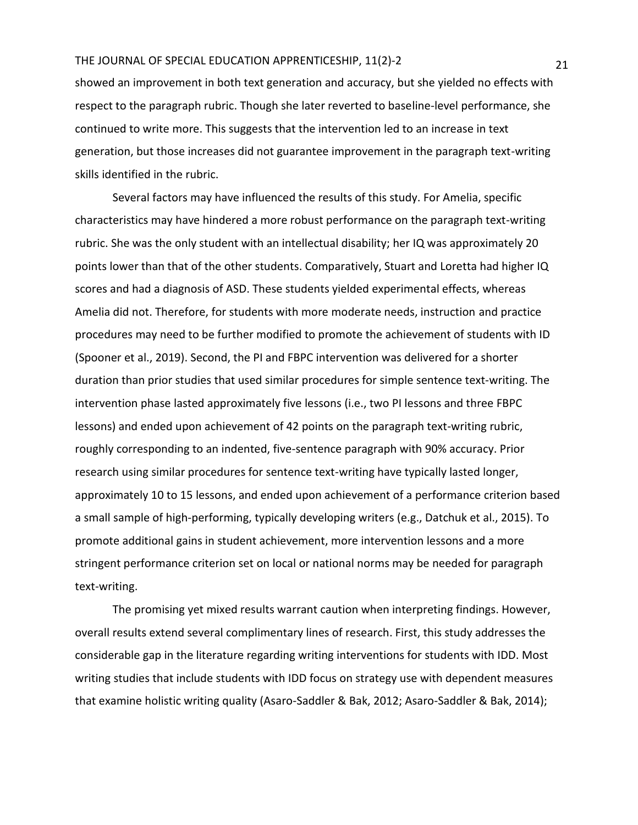showed an improvement in both text generation and accuracy, but she yielded no effects with respect to the paragraph rubric. Though she later reverted to baseline-level performance, she continued to write more. This suggests that the intervention led to an increase in text generation, but those increases did not guarantee improvement in the paragraph text-writing skills identified in the rubric.

Several factors may have influenced the results of this study. For Amelia, specific characteristics may have hindered a more robust performance on the paragraph text-writing rubric. She was the only student with an intellectual disability; her IQ was approximately 20 points lower than that of the other students. Comparatively, Stuart and Loretta had higher IQ scores and had a diagnosis of ASD. These students yielded experimental effects, whereas Amelia did not. Therefore, for students with more moderate needs, instruction and practice procedures may need to be further modified to promote the achievement of students with ID (Spooner et al., 2019). Second, the PI and FBPC intervention was delivered for a shorter duration than prior studies that used similar procedures for simple sentence text-writing. The intervention phase lasted approximately five lessons (i.e., two PI lessons and three FBPC lessons) and ended upon achievement of 42 points on the paragraph text-writing rubric, roughly corresponding to an indented, five-sentence paragraph with 90% accuracy. Prior research using similar procedures for sentence text-writing have typically lasted longer, approximately 10 to 15 lessons, and ended upon achievement of a performance criterion based a small sample of high-performing, typically developing writers (e.g., Datchuk et al., 2015). To promote additional gains in student achievement, more intervention lessons and a more stringent performance criterion set on local or national norms may be needed for paragraph text-writing.

The promising yet mixed results warrant caution when interpreting findings. However, overall results extend several complimentary lines of research. First, this study addresses the considerable gap in the literature regarding writing interventions for students with IDD. Most writing studies that include students with IDD focus on strategy use with dependent measures that examine holistic writing quality (Asaro-Saddler & Bak, 2012; Asaro-Saddler & Bak, 2014);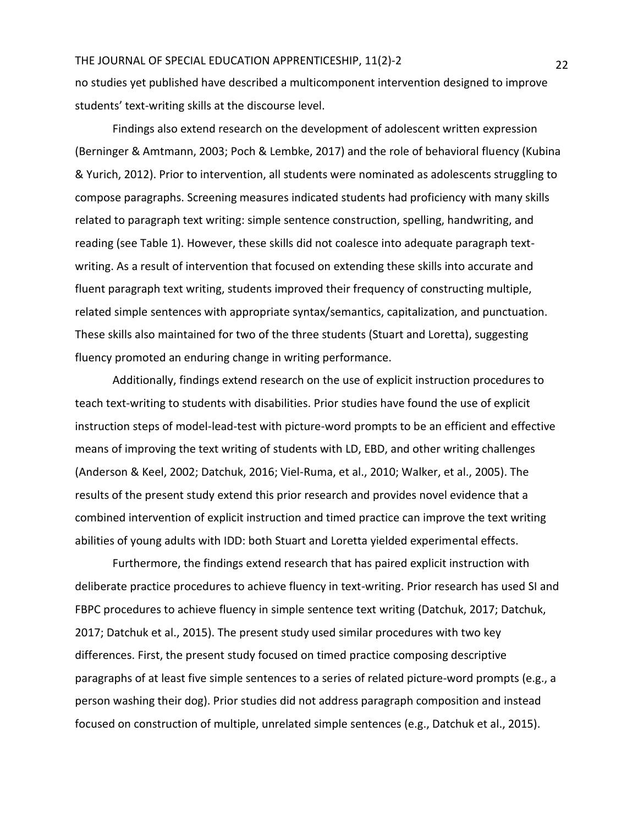no studies yet published have described a multicomponent intervention designed to improve students' text-writing skills at the discourse level.

Findings also extend research on the development of adolescent written expression (Berninger & Amtmann, 2003; Poch & Lembke, 2017) and the role of behavioral fluency (Kubina & Yurich, 2012). Prior to intervention, all students were nominated as adolescents struggling to compose paragraphs. Screening measures indicated students had proficiency with many skills related to paragraph text writing: simple sentence construction, spelling, handwriting, and reading (see Table 1). However, these skills did not coalesce into adequate paragraph textwriting. As a result of intervention that focused on extending these skills into accurate and fluent paragraph text writing, students improved their frequency of constructing multiple, related simple sentences with appropriate syntax/semantics, capitalization, and punctuation. These skills also maintained for two of the three students (Stuart and Loretta), suggesting fluency promoted an enduring change in writing performance.

Additionally, findings extend research on the use of explicit instruction procedures to teach text-writing to students with disabilities. Prior studies have found the use of explicit instruction steps of model-lead-test with picture-word prompts to be an efficient and effective means of improving the text writing of students with LD, EBD, and other writing challenges (Anderson & Keel, 2002; Datchuk, 2016; Viel-Ruma, et al., 2010; Walker, et al., 2005). The results of the present study extend this prior research and provides novel evidence that a combined intervention of explicit instruction and timed practice can improve the text writing abilities of young adults with IDD: both Stuart and Loretta yielded experimental effects.

Furthermore, the findings extend research that has paired explicit instruction with deliberate practice procedures to achieve fluency in text-writing. Prior research has used SI and FBPC procedures to achieve fluency in simple sentence text writing (Datchuk, 2017; Datchuk, 2017; Datchuk et al., 2015). The present study used similar procedures with two key differences. First, the present study focused on timed practice composing descriptive paragraphs of at least five simple sentences to a series of related picture-word prompts (e.g., a person washing their dog). Prior studies did not address paragraph composition and instead focused on construction of multiple, unrelated simple sentences (e.g., Datchuk et al., 2015).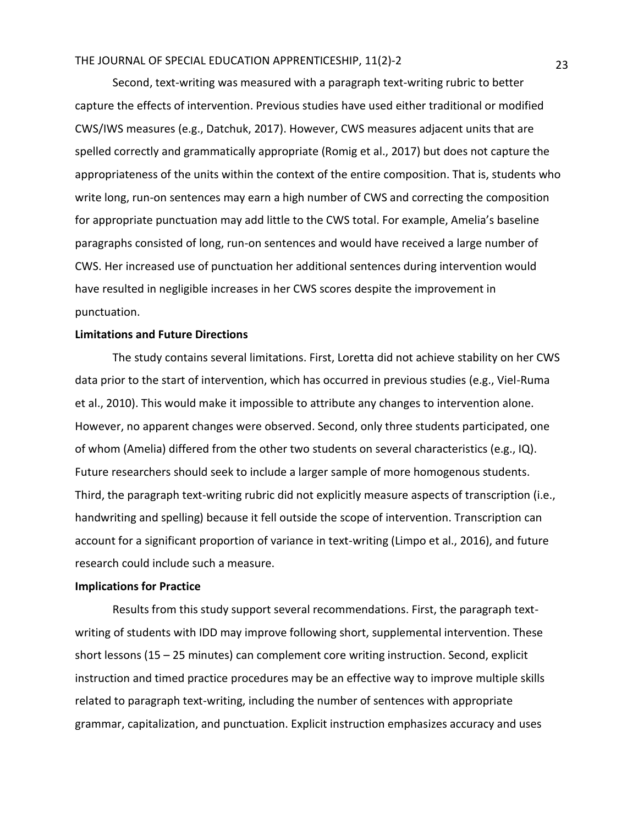Second, text-writing was measured with a paragraph text-writing rubric to better capture the effects of intervention. Previous studies have used either traditional or modified CWS/IWS measures (e.g., Datchuk, 2017). However, CWS measures adjacent units that are spelled correctly and grammatically appropriate (Romig et al., 2017) but does not capture the appropriateness of the units within the context of the entire composition. That is, students who write long, run-on sentences may earn a high number of CWS and correcting the composition for appropriate punctuation may add little to the CWS total. For example, Amelia's baseline paragraphs consisted of long, run-on sentences and would have received a large number of CWS. Her increased use of punctuation her additional sentences during intervention would have resulted in negligible increases in her CWS scores despite the improvement in punctuation.

#### **Limitations and Future Directions**

The study contains several limitations. First, Loretta did not achieve stability on her CWS data prior to the start of intervention, which has occurred in previous studies (e.g., Viel-Ruma et al., 2010). This would make it impossible to attribute any changes to intervention alone. However, no apparent changes were observed. Second, only three students participated, one of whom (Amelia) differed from the other two students on several characteristics (e.g., IQ). Future researchers should seek to include a larger sample of more homogenous students. Third, the paragraph text-writing rubric did not explicitly measure aspects of transcription (i.e., handwriting and spelling) because it fell outside the scope of intervention. Transcription can account for a significant proportion of variance in text-writing (Limpo et al., 2016), and future research could include such a measure.

### **Implications for Practice**

Results from this study support several recommendations. First, the paragraph textwriting of students with IDD may improve following short, supplemental intervention. These short lessons (15 – 25 minutes) can complement core writing instruction. Second, explicit instruction and timed practice procedures may be an effective way to improve multiple skills related to paragraph text-writing, including the number of sentences with appropriate grammar, capitalization, and punctuation. Explicit instruction emphasizes accuracy and uses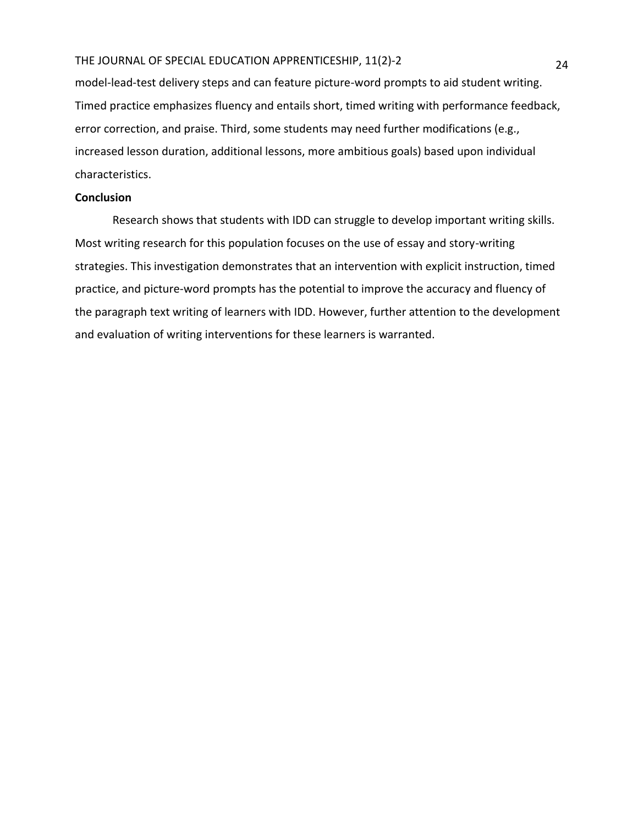model-lead-test delivery steps and can feature picture-word prompts to aid student writing. Timed practice emphasizes fluency and entails short, timed writing with performance feedback, error correction, and praise. Third, some students may need further modifications (e.g., increased lesson duration, additional lessons, more ambitious goals) based upon individual characteristics.

#### **Conclusion**

Research shows that students with IDD can struggle to develop important writing skills. Most writing research for this population focuses on the use of essay and story-writing strategies. This investigation demonstrates that an intervention with explicit instruction, timed practice, and picture-word prompts has the potential to improve the accuracy and fluency of the paragraph text writing of learners with IDD. However, further attention to the development and evaluation of writing interventions for these learners is warranted.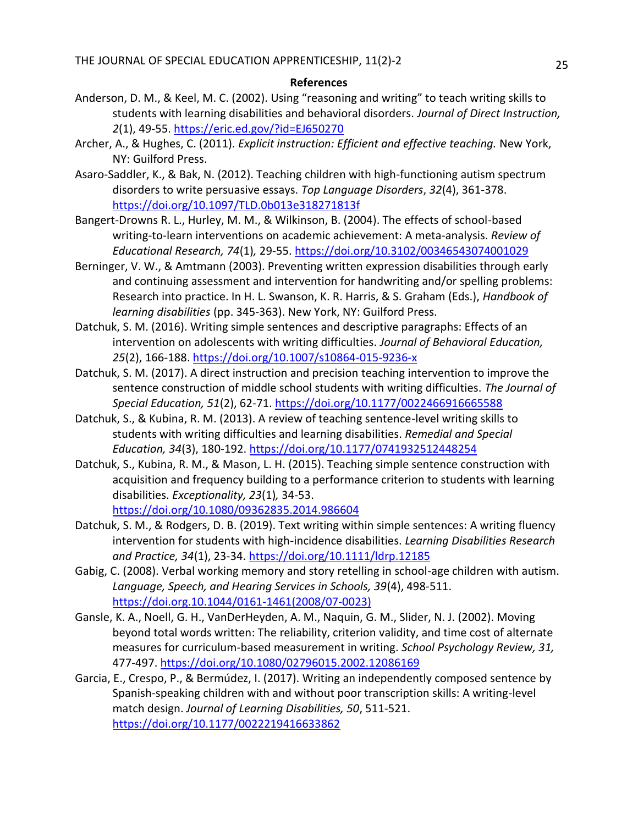#### **References**

- Anderson, D. M., & Keel, M. C. (2002). Using "reasoning and writing" to teach writing skills to students with learning disabilities and behavioral disorders. *Journal of Direct Instruction, 2*(1), 49-55.<https://eric.ed.gov/?id=EJ650270>
- Archer, A., & Hughes, C. (2011). *Explicit instruction: Efficient and effective teaching.* New York, NY: Guilford Press.
- Asaro-Saddler, K., & Bak, N. (2012). Teaching children with high-functioning autism spectrum disorders to write persuasive essays. *Top Language Disorders*, *32*(4), 361-378. <https://doi.org/10.1097/TLD.0b013e318271813f>
- Bangert-Drowns R. L., Hurley, M. M., & Wilkinson, B. (2004). The effects of school-based writing-to-learn interventions on academic achievement: A meta-analysis. *Review of Educational Research, 74*(1)*,* 29-55.<https://doi.org/10.3102/00346543074001029>
- Berninger, V. W., & Amtmann (2003). Preventing written expression disabilities through early and continuing assessment and intervention for handwriting and/or spelling problems: Research into practice. In H. L. Swanson, K. R. Harris, & S. Graham (Eds.), *Handbook of learning disabilities* (pp. 345-363). New York, NY: Guilford Press.
- Datchuk, S. M. (2016). Writing simple sentences and descriptive paragraphs: Effects of an intervention on adolescents with writing difficulties. *Journal of Behavioral Education, 25*(2), 166-188.<https://doi.org/10.1007/s10864-015-9236-x>
- Datchuk, S. M. (2017). A direct instruction and precision teaching intervention to improve the sentence construction of middle school students with writing difficulties. *The Journal of Special Education, 51*(2), 62-71.<https://doi.org/10.1177/0022466916665588>
- Datchuk, S., & Kubina, R. M. (2013). A review of teaching sentence-level writing skills to students with writing difficulties and learning disabilities. *Remedial and Special Education, 34*(3), 180-192.<https://doi.org/10.1177/0741932512448254>
- Datchuk, S., Kubina, R. M., & Mason, L. H. (2015). Teaching simple sentence construction with acquisition and frequency building to a performance criterion to students with learning disabilities. *Exceptionality, 23*(1)*,* 34-53. <https://doi.org/10.1080/09362835.2014.986604>
- Datchuk, S. M., & Rodgers, D. B. (2019). Text writing within simple sentences: A writing fluency intervention for students with high-incidence disabilities. *Learning Disabilities Research and Practice, 34*(1), 23-34.<https://doi.org/10.1111/ldrp.12185>
- Gabig, C. (2008). Verbal working memory and story retelling in school-age children with autism. *Language, Speech, and Hearing Services in Schools, 39*(4), 498-511. [https://doi.org.10.1044/0161-1461\(2008/07-0023\)](https://doi.org.10.1044/0161-1461(2008/07-0023))
- Gansle, K. A., Noell, G. H., VanDerHeyden, A. M., Naquin, G. M., Slider, N. J. (2002). Moving beyond total words written: The reliability, criterion validity, and time cost of alternate measures for curriculum-based measurement in writing. *School Psychology Review, 31,*  477-497.<https://doi.org/10.1080/02796015.2002.12086169>
- Garcia, E., Crespo, P., & Bermúdez, I. (2017). Writing an independently composed sentence by Spanish-speaking children with and without poor transcription skills: A writing-level match design. *Journal of Learning Disabilities, 50*, 511-521. <https://doi.org/10.1177/0022219416633862>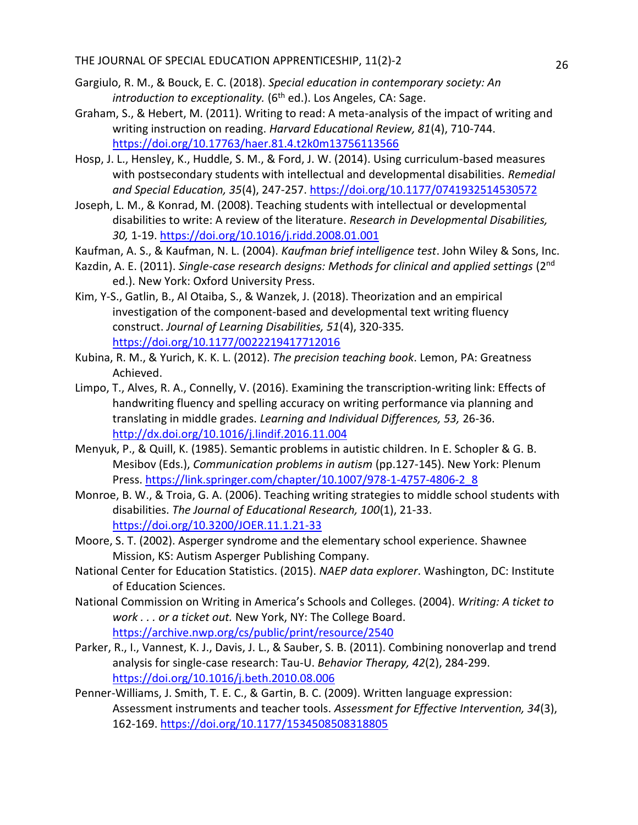- Gargiulo, R. M., & Bouck, E. C. (2018). *Special education in contemporary society: An introduction to exceptionality.* (6<sup>th</sup> ed.). Los Angeles, CA: Sage.
- Graham, S., & Hebert, M. (2011). Writing to read: A meta-analysis of the impact of writing and writing instruction on reading. *Harvard Educational Review, 81*(4), 710-744. <https://doi.org/10.17763/haer.81.4.t2k0m13756113566>
- Hosp, J. L., Hensley, K., Huddle, S. M., & Ford, J. W. (2014). Using curriculum-based measures with postsecondary students with intellectual and developmental disabilities. *Remedial and Special Education, 35*(4), 247-257.<https://doi.org/10.1177/0741932514530572>
- Joseph, L. M., & Konrad, M. (2008). Teaching students with intellectual or developmental disabilities to write: A review of the literature. *Research in Developmental Disabilities, 30,* 1-19.<https://doi.org/10.1016/j.ridd.2008.01.001>
- Kaufman, A. S., & Kaufman, N. L. (2004). *Kaufman brief intelligence test*. John Wiley & Sons, Inc.
- Kazdin, A. E. (2011). *Single-case research designs: Methods for clinical and applied settings* (2nd ed.). New York: Oxford University Press.
- Kim, Y-S., Gatlin, B., Al Otaiba, S., & Wanzek, J. (2018). Theorization and an empirical investigation of the component-based and developmental text writing fluency construct. *Journal of Learning Disabilities, 51*(4), 320-335*.*  <https://doi.org/10.1177/0022219417712016>
- Kubina, R. M., & Yurich, K. K. L. (2012). *The precision teaching book*. Lemon, PA: Greatness Achieved.
- Limpo, T., Alves, R. A., Connelly, V. (2016). Examining the transcription-writing link: Effects of handwriting fluency and spelling accuracy on writing performance via planning and translating in middle grades. *Learning and Individual Differences, 53,* 26-36. <http://dx.doi.org/10.1016/j.lindif.2016.11.004>
- Menyuk, P., & Quill, K. (1985). Semantic problems in autistic children. In E. Schopler & G. B. Mesibov (Eds.), *Communication problems in autism* (pp.127-145). New York: Plenum Press. [https://link.springer.com/chapter/10.1007/978-1-4757-4806-2\\_8](https://link.springer.com/chapter/10.1007/978-1-4757-4806-2_8)
- Monroe, B. W., & Troia, G. A. (2006). Teaching writing strategies to middle school students with disabilities. *The Journal of Educational Research, 100*(1), 21-33. <https://doi.org/10.3200/JOER.11.1.21-33>
- Moore, S. T. (2002). Asperger syndrome and the elementary school experience. Shawnee Mission, KS: Autism Asperger Publishing Company.
- National Center for Education Statistics. (2015). *NAEP data explorer*. Washington, DC: Institute of Education Sciences.
- National Commission on Writing in America's Schools and Colleges. (2004). *Writing: A ticket to work . . . or a ticket out.* New York, NY: The College Board. <https://archive.nwp.org/cs/public/print/resource/2540>
- Parker, R., I., Vannest, K. J., Davis, J. L., & Sauber, S. B. (2011). Combining nonoverlap and trend analysis for single-case research: Tau-U. *Behavior Therapy, 42*(2), 284-299. <https://doi.org/10.1016/j.beth.2010.08.006>
- Penner-Williams, J. Smith, T. E. C., & Gartin, B. C. (2009). Written language expression: Assessment instruments and teacher tools. *Assessment for Effective Intervention, 34*(3), 162-169.<https://doi.org/10.1177/1534508508318805>